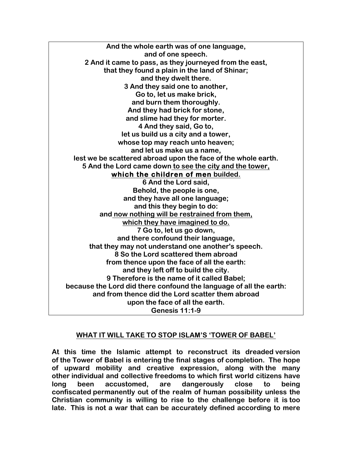**And the whole earth was of one language, and of one speech. 2 And it came to pass, as they journeyed from the east, that they found a plain in the land of Shinar; and they dwelt there. 3 And they said one to another, Go to, let us make brick, and burn them thoroughly. And they had brick for stone, and slime had they for morter. 4 And they said, Go to, let us build us a city and a tower, whose top may reach unto heaven; and let us make us a name, lest we be scattered abroad upon the face of the whole earth. 5 And the Lord came down to see the city and the tower, which the children of men builded. 6 And the Lord said, Behold, the people is one, and they have all one language; and this they begin to do: and now nothing will be restrained from them, which they have imagined to do. 7 Go to, let us go down, and there confound their language, that they may not understand one another's speech. 8 So the Lord scattered them abroad from thence upon the face of all the earth: and they left off to build the city. 9 Therefore is the name of it called Babel; because the Lord did there confound the language of all the earth: and from thence did the Lord scatter them abroad upon the face of all the earth. Genesis 11:1-9**

## **WHAT IT WILL TAKE TO STOP ISLAM'S 'TOWER OF BABEL'**

**At this time the Islamic attempt to reconstruct its dreaded version of the Tower of Babel is entering the final stages of completion. The hope of upward mobility and creative expression, along with the many other individual and collective freedoms to which first world citizens have long been accustomed, are dangerously close to being confiscated permanently out of the realm of human possibility unless the Christian community is willing to rise to the challenge before it is too late. This is not a war that can be accurately defined according to mere**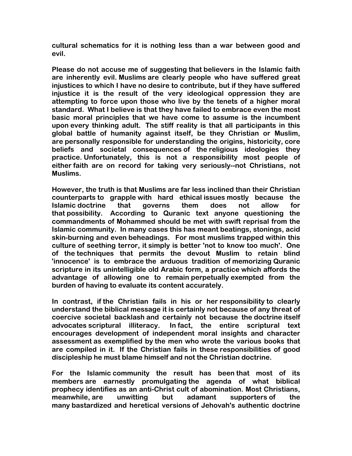**cultural schematics for it is nothing less than a war between good and evil.** 

**Please do not accuse me of suggesting that believers in the Islamic faith are inherently evil. Muslims are clearly people who have suffered great injustices to which I have no desire to contribute, but if they have suffered injustice it is the result of the very ideological oppression they are attempting to force upon those who live by the tenets of a higher moral standard. What I believe is that they have failed to embrace even the most basic moral principles that we have come to assume is the incumbent upon every thinking adult. The stiff reality is that all participants in this global battle of humanity against itself, be they Christian or Muslim, are personally responsible for understanding the origins, historicity, core beliefs and societal consequences of the religious ideologies they practice. Unfortunately, this is not a responsibility most people of either faith are on record for taking very seriously--not Christians, not Muslims.** 

**However, the truth is that Muslims are far less inclined than their Christian counterparts to grapple with hard ethical issues mostly because the Islamic doctrine that governs them does not allow for that possibility. According to Quranic text anyone questioning the commandments of Mohammed should be met with swift reprisal from the Islamic community. In many cases this has meant beatings, stonings, acid skin-burning and even beheadings. For most muslims trapped within this culture of seething terror, it simply is better 'not to know too much'. One of the techniques that permits the devout Muslim to retain blind 'innocence' is to embrace the arduous tradition of memorizing Quranic scripture in its unintelligible old Arabic form, a practice which affords the advantage of allowing one to remain perpetually exempted from the burden of having to evaluate its content accurately.** 

**In contrast, if the Christian fails in his or her responsibility to clearly understand the biblical message it is certainly not because of any threat of coercive societal backlash and certainly not because the doctrine itself advocates scriptural illiteracy. In fact, the entire scriptural text encourages development of independent moral insights and character assessment as exemplified by the men who wrote the various books that are compiled in it. If the Christian fails in these responsibilities of good discipleship he must blame himself and not the Christian doctrine.**

**For the Islamic community the result has been that most of its members are earnestly promulgating the agenda of what biblical prophecy identifies as an anti-Christ cult of abomination. Most Christians, meanwhile, are unwitting but adamant supporters of the many bastardized and heretical versions of Jehovah's authentic doctrine**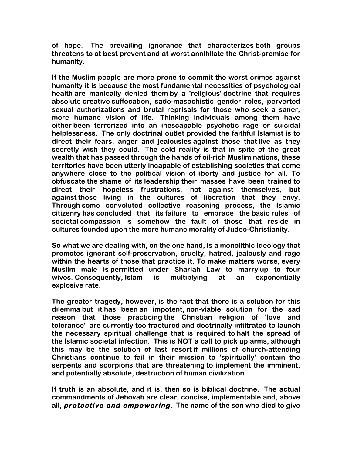**of hope. The prevailing ignorance that characterizes both groups threatens to at best prevent and at worst annihilate the Christ-promise for humanity.** 

**If the Muslim people are more prone to commit the worst crimes against humanity it is because the most fundamental necessities of psychological health are manically denied them by a 'religious' doctrine that requires absolute creative suffocation, sado-masochistic gender roles, perverted sexual authorizations and brutal reprisals for those who seek a saner, more humane vision of life. Thinking individuals among them have either been terrorized into an inescapable psychotic rage or suicidal helplessness. The only doctrinal outlet provided the faithful Islamist is to direct their fears, anger and jealousies against those that live as they secretly wish they could. The cold reality is that in spite of the great wealth that has passed through the hands of oil-rich Muslim nations, these territories have been utterly incapable of establishing societies that come anywhere close to the political vision of liberty and justice for all. To obfuscate the shame of its leadership their masses have been trained to direct their hopeless frustrations, not against themselves, but against those living in the cultures of liberation that they envy. Through some convoluted collective reasoning process, the Islamic citizenry has concluded that its failure to embrace the basic rules of societal compassion is somehow the fault of those that reside in cultures founded upon the more humane morality of Judeo-Christianity.**

**So what we are dealing with, on the one hand, is a monolithic ideology that promotes ignorant self-preservation, cruelty, hatred, jealously and rage within the hearts of those that practice it. To make matters worse, every Muslim male is permitted under Shariah Law to marry up to four wives. Consequently, Islam is multiplying at an exponentially explosive rate.**

**The greater tragedy, however, is the fact that there is a solution for this dilemma but it has been an impotent, non-viable solution for the sad reason that those practicing the Christian religion of 'love and tolerance' are currently too fractured and doctrinally infiltrated to launch the necessary spiritual challenge that is required to halt the spread of the Islamic societal infection. This is NOT a call to pick up arms, although this may be the solution of last resort if millions of church-attending Christians continue to fail in their mission to 'spiritually' contain the serpents and scorpions that are threatening to implement the imminent, and potentially absolute, destruction of human civilization.** 

**If truth is an absolute, and it is, then so is biblical doctrine. The actual commandments of Jehovah are clear, concise, implementable and, above all, protective and empowering. The name of the son who died to give**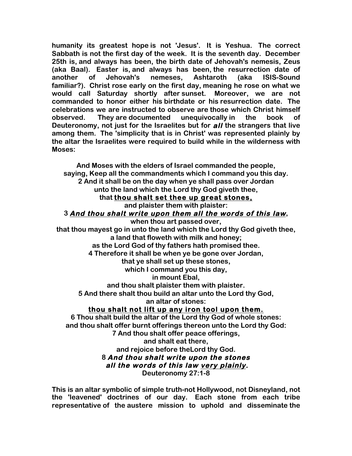**humanity its greatest hope is not 'Jesus'. It is Yeshua. The correct Sabbath is not the first day of the week. It is the seventh day. December 25th is, and always has been, the birth date of Jehovah's nemesis, Zeus (aka Baal). Easter is, and always has been, the resurrection date of another of Jehovah's nemeses, Ashtaroth (aka ISIS-Sound familiar?). Christ rose early on the first day, meaning he rose on what we would call Saturday shortly after sunset. Moreover, we are not commanded to honor either his birthdate or his resurrection date. The celebrations we are instructed to observe are those which Christ himself observed. They are documented unequivocally in the book of Deuteronomy, not just for the Israelites but for all the strangers that live among them. The 'simplicity that is in Christ' was represented plainly by the altar the Israelites were required to build while in the wilderness with Moses:**

**And Moses with the elders of Israel commanded the people, saying, Keep all the commandments which I command you this day. 2 And it shall be on the day when ye shall pass over Jordan unto the land which the Lord thy God giveth thee, that thou shalt set thee up great stones, and plaister them with plaister: 3 And thou shalt write upon them all the words of this law,** 

**when thou art passed over,** 

**that thou mayest go in unto the land which the Lord thy God giveth thee, a land that floweth with milk and honey;** 

**as the Lord God of thy fathers hath promised thee.**

**4 Therefore it shall be when ye be gone over Jordan,**

**that ye shall set up these stones,** 

**which I command you this day,** 

**in mount Ebal,** 

**and thou shalt plaister them with plaister.**

**5 And there shalt thou build an altar unto the Lord thy God,** 

**an altar of stones:** 

## **thou shalt not lift up any iron tool upon them.**

**6 Thou shalt build the altar of the Lord thy God of whole stones: and thou shalt offer burnt offerings thereon unto the Lord thy God: 7 And thou shalt offer peace offerings,** 

**and shalt eat there,** 

**and rejoice before theLord thy God. 8 And thou shalt write upon the stones all the words of this law very plainly. Deuteronomy 27:1-8**

**This is an altar symbolic of simple truth-not Hollywood, not Disneyland, not the 'leavened' doctrines of our day. Each stone from each tribe representative of the austere mission to uphold and disseminate the**